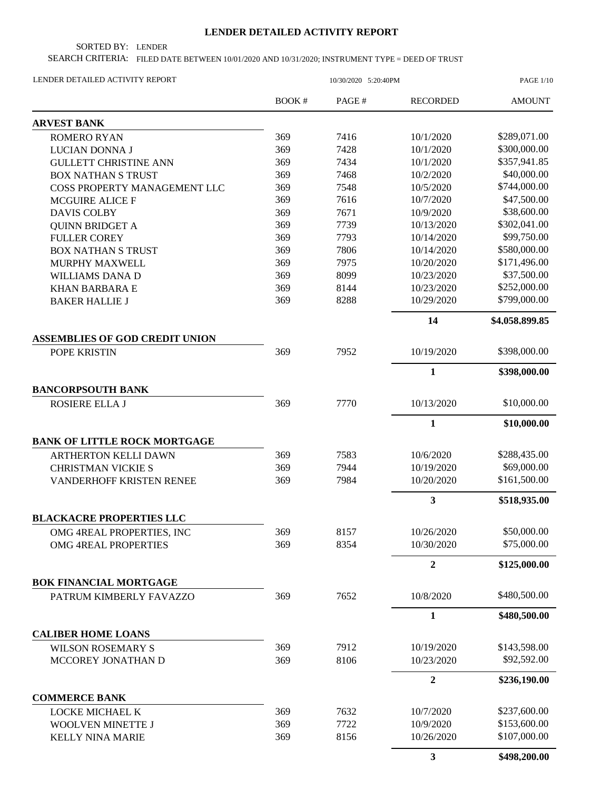## **LENDER DETAILED ACTIVITY REPORT**

SORTED BY: LENDER

SEARCH CRITERIA: FILED DATE BETWEEN 10/01/2020 AND 10/31/2020; INSTRUMENT TYPE = DEED OF TRUST

| LENDER DETAILED ACTIVITY REPORT       |        | <b>PAGE 1/10</b> |                 |                |
|---------------------------------------|--------|------------------|-----------------|----------------|
|                                       | BOOK # | PAGE#            | <b>RECORDED</b> | <b>AMOUNT</b>  |
| <b>ARVEST BANK</b>                    |        |                  |                 |                |
| <b>ROMERO RYAN</b>                    | 369    | 7416             | 10/1/2020       | \$289,071.00   |
| LUCIAN DONNA J                        | 369    | 7428             | 10/1/2020       | \$300,000.00   |
| <b>GULLETT CHRISTINE ANN</b>          | 369    | 7434             | 10/1/2020       | \$357,941.85   |
| <b>BOX NATHAN S TRUST</b>             | 369    | 7468             | 10/2/2020       | \$40,000.00    |
| COSS PROPERTY MANAGEMENT LLC          | 369    | 7548             | 10/5/2020       | \$744,000.00   |
| <b>MCGUIRE ALICE F</b>                | 369    | 7616             | 10/7/2020       | \$47,500.00    |
| <b>DAVIS COLBY</b>                    | 369    | 7671             | 10/9/2020       | \$38,600.00    |
| <b>QUINN BRIDGET A</b>                | 369    | 7739             | 10/13/2020      | \$302,041.00   |
| <b>FULLER COREY</b>                   | 369    | 7793             | 10/14/2020      | \$99,750.00    |
| <b>BOX NATHAN S TRUST</b>             | 369    | 7806             | 10/14/2020      | \$580,000.00   |
| <b>MURPHY MAXWELL</b>                 | 369    | 7975             | 10/20/2020      | \$171,496.00   |
| WILLIAMS DANA D                       | 369    | 8099             | 10/23/2020      | \$37,500.00    |
| <b>KHAN BARBARA E</b>                 | 369    | 8144             | 10/23/2020      | \$252,000.00   |
| <b>BAKER HALLIE J</b>                 | 369    | 8288             | 10/29/2020      | \$799,000.00   |
|                                       |        |                  | 14              | \$4,058,899.85 |
| <b>ASSEMBLIES OF GOD CREDIT UNION</b> |        |                  |                 |                |
| POPE KRISTIN                          | 369    | 7952             | 10/19/2020      | \$398,000.00   |
|                                       |        |                  | $\mathbf{1}$    | \$398,000.00   |
| <b>BANCORPSOUTH BANK</b>              |        |                  |                 |                |
| ROSIERE ELLA J                        | 369    | 7770             | 10/13/2020      | \$10,000.00    |
|                                       |        |                  | $\mathbf{1}$    | \$10,000.00    |
| <b>BANK OF LITTLE ROCK MORTGAGE</b>   |        |                  |                 |                |
| <b>ARTHERTON KELLI DAWN</b>           | 369    | 7583             | 10/6/2020       | \$288,435.00   |
| <b>CHRISTMAN VICKIE S</b>             | 369    | 7944             | 10/19/2020      | \$69,000.00    |
| VANDERHOFF KRISTEN RENEE              | 369    | 7984             | 10/20/2020      | \$161,500.00   |
|                                       |        |                  | 3               | \$518,935.00   |
| <b>BLACKACRE PROPERTIES LLC</b>       |        |                  |                 |                |
| OMG 4REAL PROPERTIES, INC             | 369    | 8157             | 10/26/2020      | \$50,000.00    |
| OMG 4REAL PROPERTIES                  | 369    | 8354             | 10/30/2020      | \$75,000.00    |
|                                       |        |                  | $\overline{2}$  | \$125,000.00   |
| <b>BOK FINANCIAL MORTGAGE</b>         |        |                  |                 |                |
| PATRUM KIMBERLY FAVAZZO               | 369    | 7652             | 10/8/2020       | \$480,500.00   |
|                                       |        |                  | 1               | \$480,500.00   |
| <b>CALIBER HOME LOANS</b>             |        |                  |                 |                |
| <b>WILSON ROSEMARY S</b>              | 369    | 7912             | 10/19/2020      | \$143,598.00   |
| MCCOREY JONATHAN D                    | 369    | 8106             | 10/23/2020      | \$92,592.00    |
|                                       |        |                  | $\overline{2}$  | \$236,190.00   |
| <b>COMMERCE BANK</b>                  |        |                  |                 |                |
| LOCKE MICHAEL K                       | 369    | 7632             | 10/7/2020       | \$237,600.00   |
| WOOLVEN MINETTE J                     | 369    | 7722             | 10/9/2020       | \$153,600.00   |
| <b>KELLY NINA MARIE</b>               | 369    | 8156             | 10/26/2020      | \$107,000.00   |
|                                       |        |                  | 3               | \$498,200.00   |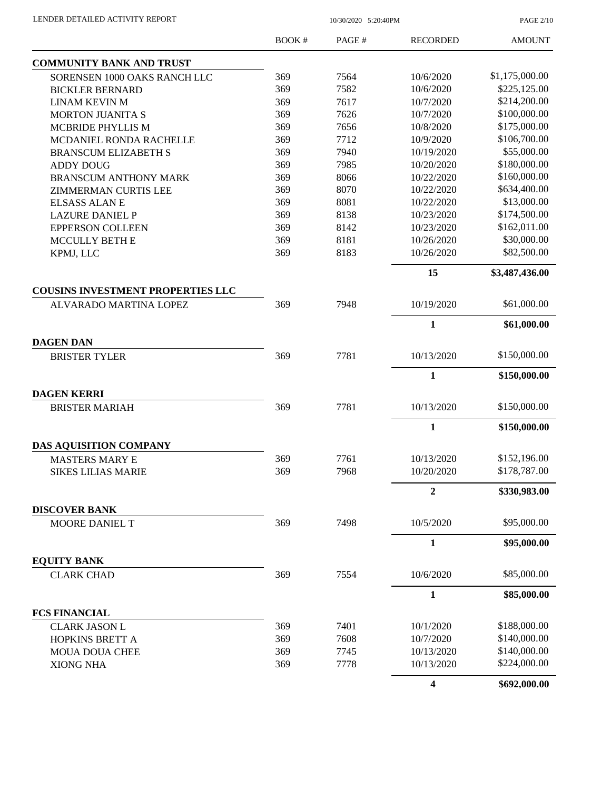PAGE 2/10

|                                          | <b>BOOK#</b> | PAGE# | <b>RECORDED</b>  | <b>AMOUNT</b>  |
|------------------------------------------|--------------|-------|------------------|----------------|
| <b>COMMUNITY BANK AND TRUST</b>          |              |       |                  |                |
| SORENSEN 1000 OAKS RANCH LLC             | 369          | 7564  | 10/6/2020        | \$1,175,000.00 |
| <b>BICKLER BERNARD</b>                   | 369          | 7582  | 10/6/2020        | \$225,125.00   |
| <b>LINAM KEVIN M</b>                     | 369          | 7617  | 10/7/2020        | \$214,200.00   |
| <b>MORTON JUANITA S</b>                  | 369          | 7626  | 10/7/2020        | \$100,000.00   |
| <b>MCBRIDE PHYLLIS M</b>                 | 369          | 7656  | 10/8/2020        | \$175,000.00   |
| MCDANIEL RONDA RACHELLE                  | 369          | 7712  | 10/9/2020        | \$106,700.00   |
| <b>BRANSCUM ELIZABETH S</b>              | 369          | 7940  | 10/19/2020       | \$55,000.00    |
| <b>ADDY DOUG</b>                         | 369          | 7985  | 10/20/2020       | \$180,000.00   |
| <b>BRANSCUM ANTHONY MARK</b>             | 369          | 8066  | 10/22/2020       | \$160,000.00   |
| <b>ZIMMERMAN CURTIS LEE</b>              | 369          | 8070  | 10/22/2020       | \$634,400.00   |
| <b>ELSASS ALAN E</b>                     | 369          | 8081  | 10/22/2020       | \$13,000.00    |
| <b>LAZURE DANIEL P</b>                   | 369          | 8138  | 10/23/2020       | \$174,500.00   |
| <b>EPPERSON COLLEEN</b>                  | 369          | 8142  | 10/23/2020       | \$162,011.00   |
| <b>MCCULLY BETH E</b>                    | 369          | 8181  | 10/26/2020       | \$30,000.00    |
| KPMJ, LLC                                | 369          | 8183  | 10/26/2020       | \$82,500.00    |
|                                          |              |       | 15               | \$3,487,436.00 |
| <b>COUSINS INVESTMENT PROPERTIES LLC</b> |              |       |                  |                |
| ALVARADO MARTINA LOPEZ                   | 369          | 7948  | 10/19/2020       | \$61,000.00    |
|                                          |              |       | $\mathbf{1}$     | \$61,000.00    |
| <b>DAGEN DAN</b>                         |              |       |                  |                |
| <b>BRISTER TYLER</b>                     | 369          | 7781  | 10/13/2020       | \$150,000.00   |
|                                          |              |       | $\mathbf{1}$     | \$150,000.00   |
| <b>DAGEN KERRI</b>                       |              |       |                  |                |
| <b>BRISTER MARIAH</b>                    | 369          | 7781  | 10/13/2020       | \$150,000.00   |
|                                          |              |       | $\mathbf{1}$     | \$150,000.00   |
| DAS AQUISITION COMPANY                   |              |       |                  |                |
| <b>MASTERS MARY E</b>                    | 369          | 7761  | 10/13/2020       | \$152,196.00   |
| <b>SIKES LILIAS MARIE</b>                | 369          | 7968  | 10/20/2020       | \$178,787.00   |
|                                          |              |       | $\boldsymbol{2}$ | \$330,983.00   |
| <b>DISCOVER BANK</b>                     |              |       |                  |                |
| MOORE DANIEL T                           | 369          | 7498  | 10/5/2020        | \$95,000.00    |
|                                          |              |       | $\mathbf{1}$     | \$95,000.00    |
| <b>EQUITY BANK</b>                       |              |       |                  |                |
| <b>CLARK CHAD</b>                        | 369          | 7554  | 10/6/2020        | \$85,000.00    |
|                                          |              |       | $\mathbf{1}$     | \$85,000.00    |
| <b>FCS FINANCIAL</b>                     |              |       |                  |                |
| <b>CLARK JASON L</b>                     | 369          | 7401  | 10/1/2020        | \$188,000.00   |
| HOPKINS BRETT A                          | 369          | 7608  | 10/7/2020        | \$140,000.00   |
| <b>MOUA DOUA CHEE</b>                    | 369          | 7745  | 10/13/2020       | \$140,000.00   |
| <b>XIONG NHA</b>                         | 369          | 7778  | 10/13/2020       | \$224,000.00   |
|                                          |              |       | 4                | \$692,000.00   |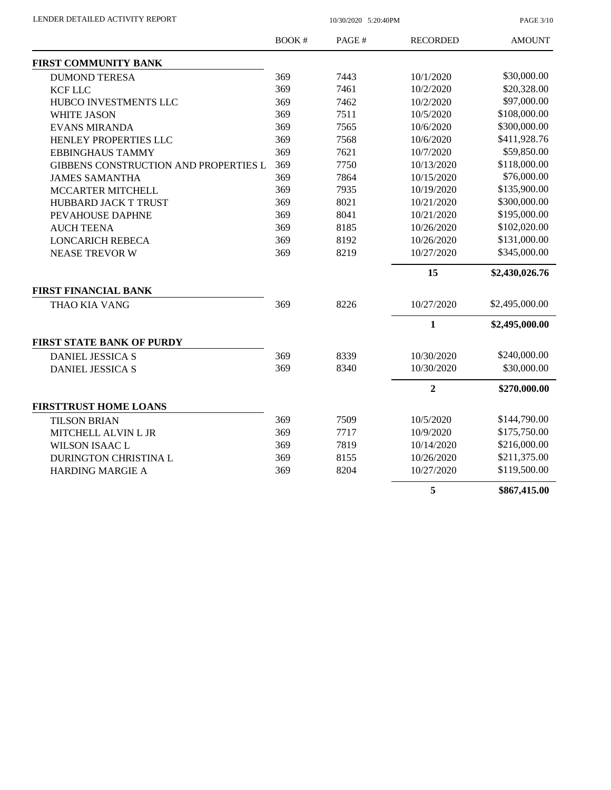PAGE 3/10

|                                       | <b>BOOK#</b> | PAGE# | <b>RECORDED</b> | <b>AMOUNT</b>  |
|---------------------------------------|--------------|-------|-----------------|----------------|
| <b>FIRST COMMUNITY BANK</b>           |              |       |                 |                |
| <b>DUMOND TERESA</b>                  | 369          | 7443  | 10/1/2020       | \$30,000.00    |
| <b>KCF LLC</b>                        | 369          | 7461  | 10/2/2020       | \$20,328.00    |
| HUBCO INVESTMENTS LLC                 | 369          | 7462  | 10/2/2020       | \$97,000.00    |
| <b>WHITE JASON</b>                    | 369          | 7511  | 10/5/2020       | \$108,000.00   |
| <b>EVANS MIRANDA</b>                  | 369          | 7565  | 10/6/2020       | \$300,000.00   |
| HENLEY PROPERTIES LLC                 | 369          | 7568  | 10/6/2020       | \$411,928.76   |
| <b>EBBINGHAUS TAMMY</b>               | 369          | 7621  | 10/7/2020       | \$59,850.00    |
| GIBBENS CONSTRUCTION AND PROPERTIES L | 369          | 7750  | 10/13/2020      | \$118,000.00   |
| <b>JAMES SAMANTHA</b>                 | 369          | 7864  | 10/15/2020      | \$76,000.00    |
| MCCARTER MITCHELL                     | 369          | 7935  | 10/19/2020      | \$135,900.00   |
| HUBBARD JACK T TRUST                  | 369          | 8021  | 10/21/2020      | \$300,000.00   |
| PEVAHOUSE DAPHNE                      | 369          | 8041  | 10/21/2020      | \$195,000.00   |
| <b>AUCH TEENA</b>                     | 369          | 8185  | 10/26/2020      | \$102,020.00   |
| <b>LONCARICH REBECA</b>               | 369          | 8192  | 10/26/2020      | \$131,000.00   |
| <b>NEASE TREVOR W</b>                 | 369          | 8219  | 10/27/2020      | \$345,000.00   |
|                                       |              |       | 15              | \$2,430,026.76 |
| <b>FIRST FINANCIAL BANK</b>           |              |       |                 |                |
| THAO KIA VANG                         | 369          | 8226  | 10/27/2020      | \$2,495,000.00 |
|                                       |              |       | $\mathbf{1}$    | \$2,495,000.00 |
| <b>FIRST STATE BANK OF PURDY</b>      |              |       |                 |                |
| <b>DANIEL JESSICA S</b>               | 369          | 8339  | 10/30/2020      | \$240,000.00   |
| <b>DANIEL JESSICA S</b>               | 369          | 8340  | 10/30/2020      | \$30,000.00    |
|                                       |              |       | $\overline{2}$  | \$270,000.00   |
| <b>FIRSTTRUST HOME LOANS</b>          |              |       |                 |                |
| <b>TILSON BRIAN</b>                   | 369          | 7509  | 10/5/2020       | \$144,790.00   |
| MITCHELL ALVIN L JR                   | 369          | 7717  | 10/9/2020       | \$175,750.00   |
| <b>WILSON ISAAC L</b>                 | 369          | 7819  | 10/14/2020      | \$216,000.00   |
| DURINGTON CHRISTINA L                 | 369          | 8155  | 10/26/2020      | \$211,375.00   |
| <b>HARDING MARGIE A</b>               | 369          | 8204  | 10/27/2020      | \$119,500.00   |
|                                       |              |       | 5               | \$867,415.00   |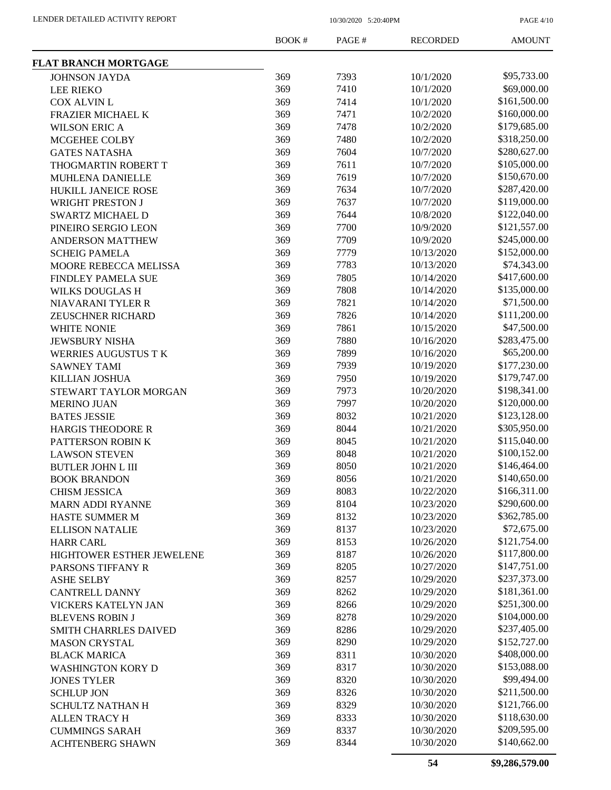PAGE 4/10

|                                  | BOOK# | PAGE# | <b>RECORDED</b> | <b>AMOUNT</b> |
|----------------------------------|-------|-------|-----------------|---------------|
| <b>FLAT BRANCH MORTGAGE</b>      |       |       |                 |               |
| <b>JOHNSON JAYDA</b>             | 369   | 7393  | 10/1/2020       | \$95,733.00   |
| <b>LEE RIEKO</b>                 | 369   | 7410  | 10/1/2020       | \$69,000.00   |
| <b>COX ALVIN L</b>               | 369   | 7414  | 10/1/2020       | \$161,500.00  |
| <b>FRAZIER MICHAEL K</b>         | 369   | 7471  | 10/2/2020       | \$160,000.00  |
| <b>WILSON ERIC A</b>             | 369   | 7478  | 10/2/2020       | \$179,685.00  |
| MCGEHEE COLBY                    | 369   | 7480  | 10/2/2020       | \$318,250.00  |
| <b>GATES NATASHA</b>             | 369   | 7604  | 10/7/2020       | \$280,627.00  |
| THOGMARTIN ROBERT T              | 369   | 7611  | 10/7/2020       | \$105,000.00  |
| <b>MUHLENA DANIELLE</b>          | 369   | 7619  | 10/7/2020       | \$150,670.00  |
| HUKILL JANEICE ROSE              | 369   | 7634  | 10/7/2020       | \$287,420.00  |
| WRIGHT PRESTON J                 | 369   | 7637  | 10/7/2020       | \$119,000.00  |
| <b>SWARTZ MICHAEL D</b>          | 369   | 7644  | 10/8/2020       | \$122,040.00  |
| PINEIRO SERGIO LEON              | 369   | 7700  | 10/9/2020       | \$121,557.00  |
| <b>ANDERSON MATTHEW</b>          | 369   | 7709  | 10/9/2020       | \$245,000.00  |
| <b>SCHEIG PAMELA</b>             | 369   | 7779  | 10/13/2020      | \$152,000.00  |
| MOORE REBECCA MELISSA            | 369   | 7783  | 10/13/2020      | \$74,343.00   |
| <b>FINDLEY PAMELA SUE</b>        | 369   | 7805  | 10/14/2020      | \$417,600.00  |
| <b>WILKS DOUGLAS H</b>           | 369   | 7808  | 10/14/2020      | \$135,000.00  |
| <b>NIAVARANI TYLER R</b>         | 369   | 7821  | 10/14/2020      | \$71,500.00   |
| <b>ZEUSCHNER RICHARD</b>         | 369   | 7826  | 10/14/2020      | \$111,200.00  |
| WHITE NONIE                      | 369   | 7861  | 10/15/2020      | \$47,500.00   |
| <b>JEWSBURY NISHA</b>            | 369   | 7880  | 10/16/2020      | \$283,475.00  |
| <b>WERRIES AUGUSTUS T K</b>      | 369   | 7899  | 10/16/2020      | \$65,200.00   |
| <b>SAWNEY TAMI</b>               | 369   | 7939  | 10/19/2020      | \$177,230.00  |
| KILLIAN JOSHUA                   | 369   | 7950  | 10/19/2020      | \$179,747.00  |
| STEWART TAYLOR MORGAN            | 369   | 7973  | 10/20/2020      | \$198,341.00  |
| <b>MERINO JUAN</b>               | 369   | 7997  | 10/20/2020      | \$120,000.00  |
| <b>BATES JESSIE</b>              | 369   | 8032  | 10/21/2020      | \$123,128.00  |
| <b>HARGIS THEODORE R</b>         | 369   | 8044  | 10/21/2020      | \$305,950.00  |
| PATTERSON ROBIN K                | 369   | 8045  | 10/21/2020      | \$115,040.00  |
| <b>LAWSON STEVEN</b>             | 369   | 8048  | 10/21/2020      | \$100,152.00  |
| <b>BUTLER JOHN L III</b>         | 369   | 8050  | 10/21/2020      | \$146,464.00  |
| <b>BOOK BRANDON</b>              | 369   | 8056  | 10/21/2020      | \$140,650.00  |
| <b>CHISM JESSICA</b>             | 369   | 8083  | 10/22/2020      | \$166,311.00  |
| <b>MARN ADDI RYANNE</b>          | 369   | 8104  | 10/23/2020      | \$290,600.00  |
| HASTE SUMMER M                   | 369   | 8132  | 10/23/2020      | \$362,785.00  |
| <b>ELLISON NATALIE</b>           | 369   | 8137  | 10/23/2020      | \$72,675.00   |
| <b>HARR CARL</b>                 | 369   | 8153  | 10/26/2020      | \$121,754.00  |
| <b>HIGHTOWER ESTHER JEWELENE</b> | 369   | 8187  | 10/26/2020      | \$117,800.00  |
| PARSONS TIFFANY R                | 369   | 8205  | 10/27/2020      | \$147,751.00  |
| <b>ASHE SELBY</b>                | 369   | 8257  | 10/29/2020      | \$237,373.00  |
| <b>CANTRELL DANNY</b>            | 369   | 8262  | 10/29/2020      | \$181,361.00  |
| VICKERS KATELYN JAN              | 369   | 8266  | 10/29/2020      | \$251,300.00  |
| <b>BLEVENS ROBIN J</b>           | 369   | 8278  | 10/29/2020      | \$104,000.00  |
| <b>SMITH CHARRLES DAIVED</b>     | 369   | 8286  | 10/29/2020      | \$237,405.00  |
| <b>MASON CRYSTAL</b>             | 369   | 8290  | 10/29/2020      | \$152,727.00  |
| <b>BLACK MARICA</b>              | 369   | 8311  | 10/30/2020      | \$408,000.00  |
| <b>WASHINGTON KORY D</b>         | 369   | 8317  | 10/30/2020      | \$153,088.00  |
| <b>JONES TYLER</b>               | 369   | 8320  | 10/30/2020      | \$99,494.00   |
| <b>SCHLUP JON</b>                | 369   | 8326  | 10/30/2020      | \$211,500.00  |
| SCHULTZ NATHAN H                 | 369   | 8329  | 10/30/2020      | \$121,766.00  |
| <b>ALLEN TRACY H</b>             | 369   | 8333  | 10/30/2020      | \$118,630.00  |
| <b>CUMMINGS SARAH</b>            | 369   | 8337  | 10/30/2020      | \$209,595.00  |
| <b>ACHTENBERG SHAWN</b>          | 369   | 8344  | 10/30/2020      | \$140,662.00  |
|                                  |       |       |                 |               |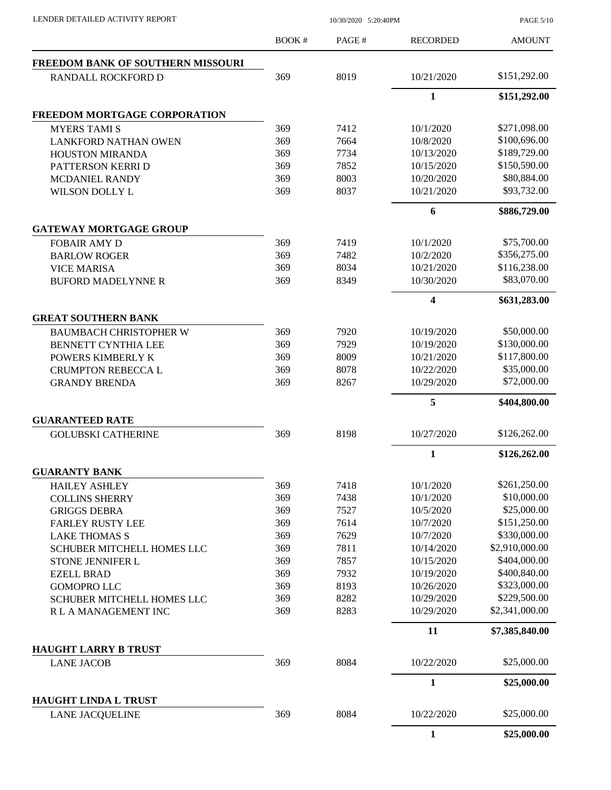PAGE 5/10

| <b>FREEDOM BANK OF SOUTHERN MISSOURI</b><br>369<br>8019<br>10/21/2020<br><b>RANDALL ROCKFORD D</b><br>$\mathbf{1}$<br><b>FREEDOM MORTGAGE CORPORATION</b><br>369<br>7412<br>10/1/2020<br><b>MYERS TAMI S</b><br>369<br>7664<br>10/8/2020<br><b>LANKFORD NATHAN OWEN</b><br>369<br>7734<br>10/13/2020<br><b>HOUSTON MIRANDA</b><br>7852<br>369<br>10/15/2020<br>PATTERSON KERRI D<br>8003<br>369<br>10/20/2020<br>MCDANIEL RANDY<br>8037<br>369<br>10/21/2020<br><b>WILSON DOLLY L</b><br>6<br><b>GATEWAY MORTGAGE GROUP</b><br>369<br>7419<br>10/1/2020<br><b>FOBAIR AMY D</b><br>369<br>7482<br>10/2/2020<br><b>BARLOW ROGER</b><br>369<br>8034<br>10/21/2020<br><b>VICE MARISA</b><br>369<br>8349<br>10/30/2020<br><b>BUFORD MADELYNNE R</b><br>$\overline{\mathbf{4}}$<br><b>GREAT SOUTHERN BANK</b><br><b>BAUMBACH CHRISTOPHER W</b><br>369<br>7920<br>10/19/2020<br>369<br>7929<br>10/19/2020<br>BENNETT CYNTHIA LEE<br>8009<br>369<br>10/21/2020<br>POWERS KIMBERLY K<br>369<br>8078<br>10/22/2020<br><b>CRUMPTON REBECCA L</b><br>369<br>8267<br>10/29/2020<br><b>GRANDY BRENDA</b><br>5<br><b>GUARANTEED RATE</b><br>369<br>8198<br>10/27/2020<br><b>GOLUBSKI CATHERINE</b><br>$\mathbf{1}$<br><b>GUARANTY BANK</b><br>369<br>7418<br>10/1/2020<br><b>HAILEY ASHLEY</b><br>369<br>7438<br>10/1/2020<br><b>COLLINS SHERRY</b><br>369<br>7527<br>10/5/2020<br><b>GRIGGS DEBRA</b><br>7614<br>369<br>10/7/2020<br><b>FARLEY RUSTY LEE</b><br>\$330,000.00<br>369<br>7629<br>10/7/2020<br><b>LAKE THOMAS S</b><br>\$2,910,000.00<br>369<br>7811<br>10/14/2020<br>SCHUBER MITCHELL HOMES LLC<br>\$404,000.00<br>369<br>7857<br>10/15/2020<br><b>STONE JENNIFER L</b><br>369<br>7932<br>10/19/2020<br><b>EZELL BRAD</b><br>369<br>8193<br>10/26/2020<br><b>GOMOPRO LLC</b><br>369<br>8282<br>10/29/2020<br><b>SCHUBER MITCHELL HOMES LLC</b><br>369<br>8283<br>10/29/2020<br>R L A MANAGEMENT INC<br>11<br><b>HAUGHT LARRY B TRUST</b><br>8084<br>369<br>10/22/2020<br><b>LANE JACOB</b><br>$\mathbf{1}$<br><b>HAUGHT LINDA L TRUST</b><br>369<br>8084<br>10/22/2020<br><b>LANE JACQUELINE</b><br>$\mathbf{1}$ | BOOK # | PAGE# | <b>RECORDED</b> | <b>AMOUNT</b>  |
|------------------------------------------------------------------------------------------------------------------------------------------------------------------------------------------------------------------------------------------------------------------------------------------------------------------------------------------------------------------------------------------------------------------------------------------------------------------------------------------------------------------------------------------------------------------------------------------------------------------------------------------------------------------------------------------------------------------------------------------------------------------------------------------------------------------------------------------------------------------------------------------------------------------------------------------------------------------------------------------------------------------------------------------------------------------------------------------------------------------------------------------------------------------------------------------------------------------------------------------------------------------------------------------------------------------------------------------------------------------------------------------------------------------------------------------------------------------------------------------------------------------------------------------------------------------------------------------------------------------------------------------------------------------------------------------------------------------------------------------------------------------------------------------------------------------------------------------------------------------------------------------------------------------------------------------------------------------------------------------------------------------------------------------------------------------------------------------------------------------|--------|-------|-----------------|----------------|
|                                                                                                                                                                                                                                                                                                                                                                                                                                                                                                                                                                                                                                                                                                                                                                                                                                                                                                                                                                                                                                                                                                                                                                                                                                                                                                                                                                                                                                                                                                                                                                                                                                                                                                                                                                                                                                                                                                                                                                                                                                                                                                                  |        |       |                 |                |
|                                                                                                                                                                                                                                                                                                                                                                                                                                                                                                                                                                                                                                                                                                                                                                                                                                                                                                                                                                                                                                                                                                                                                                                                                                                                                                                                                                                                                                                                                                                                                                                                                                                                                                                                                                                                                                                                                                                                                                                                                                                                                                                  |        |       |                 | \$151,292.00   |
|                                                                                                                                                                                                                                                                                                                                                                                                                                                                                                                                                                                                                                                                                                                                                                                                                                                                                                                                                                                                                                                                                                                                                                                                                                                                                                                                                                                                                                                                                                                                                                                                                                                                                                                                                                                                                                                                                                                                                                                                                                                                                                                  |        |       |                 | \$151,292.00   |
|                                                                                                                                                                                                                                                                                                                                                                                                                                                                                                                                                                                                                                                                                                                                                                                                                                                                                                                                                                                                                                                                                                                                                                                                                                                                                                                                                                                                                                                                                                                                                                                                                                                                                                                                                                                                                                                                                                                                                                                                                                                                                                                  |        |       |                 |                |
|                                                                                                                                                                                                                                                                                                                                                                                                                                                                                                                                                                                                                                                                                                                                                                                                                                                                                                                                                                                                                                                                                                                                                                                                                                                                                                                                                                                                                                                                                                                                                                                                                                                                                                                                                                                                                                                                                                                                                                                                                                                                                                                  |        |       |                 | \$271,098.00   |
|                                                                                                                                                                                                                                                                                                                                                                                                                                                                                                                                                                                                                                                                                                                                                                                                                                                                                                                                                                                                                                                                                                                                                                                                                                                                                                                                                                                                                                                                                                                                                                                                                                                                                                                                                                                                                                                                                                                                                                                                                                                                                                                  |        |       |                 | \$100,696.00   |
|                                                                                                                                                                                                                                                                                                                                                                                                                                                                                                                                                                                                                                                                                                                                                                                                                                                                                                                                                                                                                                                                                                                                                                                                                                                                                                                                                                                                                                                                                                                                                                                                                                                                                                                                                                                                                                                                                                                                                                                                                                                                                                                  |        |       |                 | \$189,729.00   |
|                                                                                                                                                                                                                                                                                                                                                                                                                                                                                                                                                                                                                                                                                                                                                                                                                                                                                                                                                                                                                                                                                                                                                                                                                                                                                                                                                                                                                                                                                                                                                                                                                                                                                                                                                                                                                                                                                                                                                                                                                                                                                                                  |        |       |                 | \$150,590.00   |
|                                                                                                                                                                                                                                                                                                                                                                                                                                                                                                                                                                                                                                                                                                                                                                                                                                                                                                                                                                                                                                                                                                                                                                                                                                                                                                                                                                                                                                                                                                                                                                                                                                                                                                                                                                                                                                                                                                                                                                                                                                                                                                                  |        |       |                 | \$80,884.00    |
|                                                                                                                                                                                                                                                                                                                                                                                                                                                                                                                                                                                                                                                                                                                                                                                                                                                                                                                                                                                                                                                                                                                                                                                                                                                                                                                                                                                                                                                                                                                                                                                                                                                                                                                                                                                                                                                                                                                                                                                                                                                                                                                  |        |       |                 | \$93,732.00    |
|                                                                                                                                                                                                                                                                                                                                                                                                                                                                                                                                                                                                                                                                                                                                                                                                                                                                                                                                                                                                                                                                                                                                                                                                                                                                                                                                                                                                                                                                                                                                                                                                                                                                                                                                                                                                                                                                                                                                                                                                                                                                                                                  |        |       |                 | \$886,729.00   |
|                                                                                                                                                                                                                                                                                                                                                                                                                                                                                                                                                                                                                                                                                                                                                                                                                                                                                                                                                                                                                                                                                                                                                                                                                                                                                                                                                                                                                                                                                                                                                                                                                                                                                                                                                                                                                                                                                                                                                                                                                                                                                                                  |        |       |                 |                |
|                                                                                                                                                                                                                                                                                                                                                                                                                                                                                                                                                                                                                                                                                                                                                                                                                                                                                                                                                                                                                                                                                                                                                                                                                                                                                                                                                                                                                                                                                                                                                                                                                                                                                                                                                                                                                                                                                                                                                                                                                                                                                                                  |        |       |                 | \$75,700.00    |
|                                                                                                                                                                                                                                                                                                                                                                                                                                                                                                                                                                                                                                                                                                                                                                                                                                                                                                                                                                                                                                                                                                                                                                                                                                                                                                                                                                                                                                                                                                                                                                                                                                                                                                                                                                                                                                                                                                                                                                                                                                                                                                                  |        |       |                 | \$356,275.00   |
|                                                                                                                                                                                                                                                                                                                                                                                                                                                                                                                                                                                                                                                                                                                                                                                                                                                                                                                                                                                                                                                                                                                                                                                                                                                                                                                                                                                                                                                                                                                                                                                                                                                                                                                                                                                                                                                                                                                                                                                                                                                                                                                  |        |       |                 | \$116,238.00   |
|                                                                                                                                                                                                                                                                                                                                                                                                                                                                                                                                                                                                                                                                                                                                                                                                                                                                                                                                                                                                                                                                                                                                                                                                                                                                                                                                                                                                                                                                                                                                                                                                                                                                                                                                                                                                                                                                                                                                                                                                                                                                                                                  |        |       |                 | \$83,070.00    |
|                                                                                                                                                                                                                                                                                                                                                                                                                                                                                                                                                                                                                                                                                                                                                                                                                                                                                                                                                                                                                                                                                                                                                                                                                                                                                                                                                                                                                                                                                                                                                                                                                                                                                                                                                                                                                                                                                                                                                                                                                                                                                                                  |        |       |                 | \$631,283.00   |
|                                                                                                                                                                                                                                                                                                                                                                                                                                                                                                                                                                                                                                                                                                                                                                                                                                                                                                                                                                                                                                                                                                                                                                                                                                                                                                                                                                                                                                                                                                                                                                                                                                                                                                                                                                                                                                                                                                                                                                                                                                                                                                                  |        |       |                 |                |
|                                                                                                                                                                                                                                                                                                                                                                                                                                                                                                                                                                                                                                                                                                                                                                                                                                                                                                                                                                                                                                                                                                                                                                                                                                                                                                                                                                                                                                                                                                                                                                                                                                                                                                                                                                                                                                                                                                                                                                                                                                                                                                                  |        |       |                 | \$50,000.00    |
|                                                                                                                                                                                                                                                                                                                                                                                                                                                                                                                                                                                                                                                                                                                                                                                                                                                                                                                                                                                                                                                                                                                                                                                                                                                                                                                                                                                                                                                                                                                                                                                                                                                                                                                                                                                                                                                                                                                                                                                                                                                                                                                  |        |       |                 | \$130,000.00   |
|                                                                                                                                                                                                                                                                                                                                                                                                                                                                                                                                                                                                                                                                                                                                                                                                                                                                                                                                                                                                                                                                                                                                                                                                                                                                                                                                                                                                                                                                                                                                                                                                                                                                                                                                                                                                                                                                                                                                                                                                                                                                                                                  |        |       |                 | \$117,800.00   |
|                                                                                                                                                                                                                                                                                                                                                                                                                                                                                                                                                                                                                                                                                                                                                                                                                                                                                                                                                                                                                                                                                                                                                                                                                                                                                                                                                                                                                                                                                                                                                                                                                                                                                                                                                                                                                                                                                                                                                                                                                                                                                                                  |        |       |                 | \$35,000.00    |
|                                                                                                                                                                                                                                                                                                                                                                                                                                                                                                                                                                                                                                                                                                                                                                                                                                                                                                                                                                                                                                                                                                                                                                                                                                                                                                                                                                                                                                                                                                                                                                                                                                                                                                                                                                                                                                                                                                                                                                                                                                                                                                                  |        |       |                 | \$72,000.00    |
|                                                                                                                                                                                                                                                                                                                                                                                                                                                                                                                                                                                                                                                                                                                                                                                                                                                                                                                                                                                                                                                                                                                                                                                                                                                                                                                                                                                                                                                                                                                                                                                                                                                                                                                                                                                                                                                                                                                                                                                                                                                                                                                  |        |       |                 | \$404,800.00   |
|                                                                                                                                                                                                                                                                                                                                                                                                                                                                                                                                                                                                                                                                                                                                                                                                                                                                                                                                                                                                                                                                                                                                                                                                                                                                                                                                                                                                                                                                                                                                                                                                                                                                                                                                                                                                                                                                                                                                                                                                                                                                                                                  |        |       |                 |                |
|                                                                                                                                                                                                                                                                                                                                                                                                                                                                                                                                                                                                                                                                                                                                                                                                                                                                                                                                                                                                                                                                                                                                                                                                                                                                                                                                                                                                                                                                                                                                                                                                                                                                                                                                                                                                                                                                                                                                                                                                                                                                                                                  |        |       |                 | \$126,262.00   |
|                                                                                                                                                                                                                                                                                                                                                                                                                                                                                                                                                                                                                                                                                                                                                                                                                                                                                                                                                                                                                                                                                                                                                                                                                                                                                                                                                                                                                                                                                                                                                                                                                                                                                                                                                                                                                                                                                                                                                                                                                                                                                                                  |        |       |                 | \$126,262.00   |
|                                                                                                                                                                                                                                                                                                                                                                                                                                                                                                                                                                                                                                                                                                                                                                                                                                                                                                                                                                                                                                                                                                                                                                                                                                                                                                                                                                                                                                                                                                                                                                                                                                                                                                                                                                                                                                                                                                                                                                                                                                                                                                                  |        |       |                 |                |
|                                                                                                                                                                                                                                                                                                                                                                                                                                                                                                                                                                                                                                                                                                                                                                                                                                                                                                                                                                                                                                                                                                                                                                                                                                                                                                                                                                                                                                                                                                                                                                                                                                                                                                                                                                                                                                                                                                                                                                                                                                                                                                                  |        |       |                 | \$261,250.00   |
|                                                                                                                                                                                                                                                                                                                                                                                                                                                                                                                                                                                                                                                                                                                                                                                                                                                                                                                                                                                                                                                                                                                                                                                                                                                                                                                                                                                                                                                                                                                                                                                                                                                                                                                                                                                                                                                                                                                                                                                                                                                                                                                  |        |       |                 | \$10,000.00    |
|                                                                                                                                                                                                                                                                                                                                                                                                                                                                                                                                                                                                                                                                                                                                                                                                                                                                                                                                                                                                                                                                                                                                                                                                                                                                                                                                                                                                                                                                                                                                                                                                                                                                                                                                                                                                                                                                                                                                                                                                                                                                                                                  |        |       |                 | \$25,000.00    |
|                                                                                                                                                                                                                                                                                                                                                                                                                                                                                                                                                                                                                                                                                                                                                                                                                                                                                                                                                                                                                                                                                                                                                                                                                                                                                                                                                                                                                                                                                                                                                                                                                                                                                                                                                                                                                                                                                                                                                                                                                                                                                                                  |        |       |                 | \$151,250.00   |
|                                                                                                                                                                                                                                                                                                                                                                                                                                                                                                                                                                                                                                                                                                                                                                                                                                                                                                                                                                                                                                                                                                                                                                                                                                                                                                                                                                                                                                                                                                                                                                                                                                                                                                                                                                                                                                                                                                                                                                                                                                                                                                                  |        |       |                 |                |
|                                                                                                                                                                                                                                                                                                                                                                                                                                                                                                                                                                                                                                                                                                                                                                                                                                                                                                                                                                                                                                                                                                                                                                                                                                                                                                                                                                                                                                                                                                                                                                                                                                                                                                                                                                                                                                                                                                                                                                                                                                                                                                                  |        |       |                 |                |
|                                                                                                                                                                                                                                                                                                                                                                                                                                                                                                                                                                                                                                                                                                                                                                                                                                                                                                                                                                                                                                                                                                                                                                                                                                                                                                                                                                                                                                                                                                                                                                                                                                                                                                                                                                                                                                                                                                                                                                                                                                                                                                                  |        |       |                 |                |
|                                                                                                                                                                                                                                                                                                                                                                                                                                                                                                                                                                                                                                                                                                                                                                                                                                                                                                                                                                                                                                                                                                                                                                                                                                                                                                                                                                                                                                                                                                                                                                                                                                                                                                                                                                                                                                                                                                                                                                                                                                                                                                                  |        |       |                 | \$400,840.00   |
|                                                                                                                                                                                                                                                                                                                                                                                                                                                                                                                                                                                                                                                                                                                                                                                                                                                                                                                                                                                                                                                                                                                                                                                                                                                                                                                                                                                                                                                                                                                                                                                                                                                                                                                                                                                                                                                                                                                                                                                                                                                                                                                  |        |       |                 | \$323,000.00   |
|                                                                                                                                                                                                                                                                                                                                                                                                                                                                                                                                                                                                                                                                                                                                                                                                                                                                                                                                                                                                                                                                                                                                                                                                                                                                                                                                                                                                                                                                                                                                                                                                                                                                                                                                                                                                                                                                                                                                                                                                                                                                                                                  |        |       |                 | \$229,500.00   |
|                                                                                                                                                                                                                                                                                                                                                                                                                                                                                                                                                                                                                                                                                                                                                                                                                                                                                                                                                                                                                                                                                                                                                                                                                                                                                                                                                                                                                                                                                                                                                                                                                                                                                                                                                                                                                                                                                                                                                                                                                                                                                                                  |        |       |                 | \$2,341,000.00 |
|                                                                                                                                                                                                                                                                                                                                                                                                                                                                                                                                                                                                                                                                                                                                                                                                                                                                                                                                                                                                                                                                                                                                                                                                                                                                                                                                                                                                                                                                                                                                                                                                                                                                                                                                                                                                                                                                                                                                                                                                                                                                                                                  |        |       |                 | \$7,385,840.00 |
|                                                                                                                                                                                                                                                                                                                                                                                                                                                                                                                                                                                                                                                                                                                                                                                                                                                                                                                                                                                                                                                                                                                                                                                                                                                                                                                                                                                                                                                                                                                                                                                                                                                                                                                                                                                                                                                                                                                                                                                                                                                                                                                  |        |       |                 |                |
|                                                                                                                                                                                                                                                                                                                                                                                                                                                                                                                                                                                                                                                                                                                                                                                                                                                                                                                                                                                                                                                                                                                                                                                                                                                                                                                                                                                                                                                                                                                                                                                                                                                                                                                                                                                                                                                                                                                                                                                                                                                                                                                  |        |       |                 | \$25,000.00    |
|                                                                                                                                                                                                                                                                                                                                                                                                                                                                                                                                                                                                                                                                                                                                                                                                                                                                                                                                                                                                                                                                                                                                                                                                                                                                                                                                                                                                                                                                                                                                                                                                                                                                                                                                                                                                                                                                                                                                                                                                                                                                                                                  |        |       |                 | \$25,000.00    |
|                                                                                                                                                                                                                                                                                                                                                                                                                                                                                                                                                                                                                                                                                                                                                                                                                                                                                                                                                                                                                                                                                                                                                                                                                                                                                                                                                                                                                                                                                                                                                                                                                                                                                                                                                                                                                                                                                                                                                                                                                                                                                                                  |        |       |                 | \$25,000.00    |
|                                                                                                                                                                                                                                                                                                                                                                                                                                                                                                                                                                                                                                                                                                                                                                                                                                                                                                                                                                                                                                                                                                                                                                                                                                                                                                                                                                                                                                                                                                                                                                                                                                                                                                                                                                                                                                                                                                                                                                                                                                                                                                                  |        |       |                 | \$25,000.00    |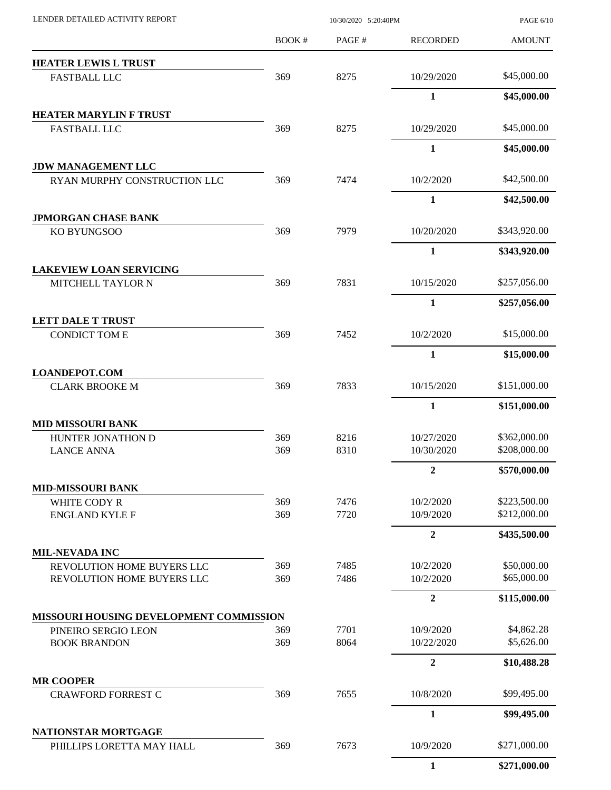| LENDER DETAILED ACTIVITY REPORT                           |              | 10/30/2020 5:20:40PM |                          |                              |
|-----------------------------------------------------------|--------------|----------------------|--------------------------|------------------------------|
|                                                           | <b>BOOK#</b> | PAGE#                | <b>RECORDED</b>          | <b>AMOUNT</b>                |
| <b>HEATER LEWIS L TRUST</b>                               |              |                      |                          |                              |
| <b>FASTBALL LLC</b>                                       | 369          | 8275                 | 10/29/2020               | \$45,000.00                  |
|                                                           |              |                      | $\mathbf{1}$             | \$45,000.00                  |
| <b>HEATER MARYLIN F TRUST</b>                             |              |                      |                          |                              |
| <b>FASTBALL LLC</b>                                       | 369          | 8275                 | 10/29/2020               | \$45,000.00                  |
|                                                           |              |                      | $\mathbf{1}$             | \$45,000.00                  |
| <b>JDW MANAGEMENT LLC</b><br>RYAN MURPHY CONSTRUCTION LLC | 369          | 7474                 | 10/2/2020                | \$42,500.00                  |
|                                                           |              |                      | $\mathbf{1}$             | \$42,500.00                  |
| <b>JPMORGAN CHASE BANK</b>                                |              |                      |                          |                              |
| KO BYUNGSOO                                               | 369          | 7979                 | 10/20/2020               | \$343,920.00                 |
|                                                           |              |                      | $\mathbf{1}$             | \$343,920.00                 |
| <b>LAKEVIEW LOAN SERVICING</b><br>MITCHELL TAYLOR N       | 369          | 7831                 | 10/15/2020               | \$257,056.00                 |
|                                                           |              |                      | 1                        | \$257,056.00                 |
| <b>LETT DALE T TRUST</b>                                  |              |                      |                          |                              |
| <b>CONDICT TOM E</b>                                      | 369          | 7452                 | 10/2/2020                | \$15,000.00                  |
|                                                           |              |                      | 1                        | \$15,000.00                  |
| <b>LOANDEPOT.COM</b>                                      |              |                      |                          |                              |
| <b>CLARK BROOKE M</b>                                     | 369          | 7833                 | 10/15/2020               | \$151,000.00                 |
|                                                           |              |                      | $\mathbf{1}$             | \$151,000.00                 |
| <b>MID MISSOURI BANK</b>                                  |              |                      |                          |                              |
| HUNTER JONATHON D<br><b>LANCE ANNA</b>                    | 369<br>369   | 8216<br>8310         | 10/27/2020<br>10/30/2020 | \$362,000.00<br>\$208,000.00 |
|                                                           |              |                      | $\overline{2}$           | \$570,000.00                 |
| <b>MID-MISSOURI BANK</b>                                  |              |                      |                          |                              |
| WHITE CODY R                                              | 369          | 7476                 | 10/2/2020                | \$223,500.00                 |
| <b>ENGLAND KYLE F</b>                                     | 369          | 7720                 | 10/9/2020                | \$212,000.00                 |
|                                                           |              |                      | $\overline{2}$           | \$435,500.00                 |
| <b>MIL-NEVADA INC</b>                                     |              | 7485                 | 10/2/2020                | \$50,000.00                  |
| REVOLUTION HOME BUYERS LLC<br>REVOLUTION HOME BUYERS LLC  | 369<br>369   | 7486                 | 10/2/2020                | \$65,000.00                  |
|                                                           |              |                      | $\overline{2}$           | \$115,000.00                 |
| MISSOURI HOUSING DEVELOPMENT COMMISSION                   |              |                      |                          |                              |
| PINEIRO SERGIO LEON                                       | 369          | 7701                 | 10/9/2020                | \$4,862.28                   |
| <b>BOOK BRANDON</b>                                       | 369          | 8064                 | 10/22/2020               | \$5,626.00                   |
|                                                           |              |                      | $\boldsymbol{2}$         | \$10,488.28                  |
| <b>MR COOPER</b><br><b>CRAWFORD FORREST C</b>             | 369          | 7655                 | 10/8/2020                | \$99,495.00                  |
|                                                           |              |                      | $\mathbf{1}$             | \$99,495.00                  |
| NATIONSTAR MORTGAGE                                       |              |                      |                          |                              |
| PHILLIPS LORETTA MAY HALL                                 | 369          | 7673                 | 10/9/2020                | \$271,000.00                 |
|                                                           |              |                      | $\mathbf{1}$             | \$271,000.00                 |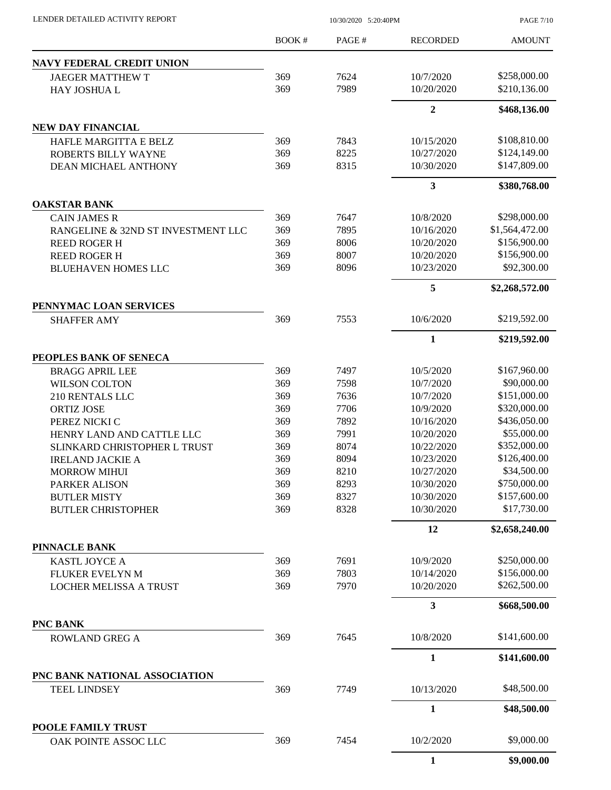|                                    | <b>BOOK#</b> | PAGE# | <b>RECORDED</b> | <b>AMOUNT</b>  |
|------------------------------------|--------------|-------|-----------------|----------------|
| <b>NAVY FEDERAL CREDIT UNION</b>   |              |       |                 |                |
| <b>JAEGER MATTHEW T</b>            | 369          | 7624  | 10/7/2020       | \$258,000.00   |
| HAY JOSHUA L                       | 369          | 7989  | 10/20/2020      | \$210,136.00   |
|                                    |              |       | $\overline{2}$  | \$468,136.00   |
| <b>NEW DAY FINANCIAL</b>           |              |       |                 |                |
| HAFLE MARGITTA E BELZ              | 369          | 7843  | 10/15/2020      | \$108,810.00   |
| ROBERTS BILLY WAYNE                | 369          | 8225  | 10/27/2020      | \$124,149.00   |
| <b>DEAN MICHAEL ANTHONY</b>        | 369          | 8315  | 10/30/2020      | \$147,809.00   |
|                                    |              |       | 3               | \$380,768.00   |
| <b>OAKSTAR BANK</b>                |              |       |                 |                |
| <b>CAIN JAMES R</b>                | 369          | 7647  | 10/8/2020       | \$298,000.00   |
| RANGELINE & 32ND ST INVESTMENT LLC | 369          | 7895  | 10/16/2020      | \$1,564,472.00 |
| <b>REED ROGER H</b>                | 369          | 8006  | 10/20/2020      | \$156,900.00   |
| <b>REED ROGER H</b>                | 369          | 8007  | 10/20/2020      | \$156,900.00   |
| <b>BLUEHAVEN HOMES LLC</b>         | 369          | 8096  | 10/23/2020      | \$92,300.00    |
|                                    |              |       | 5               | \$2,268,572.00 |
| PENNYMAC LOAN SERVICES             |              |       |                 |                |
| <b>SHAFFER AMY</b>                 | 369          | 7553  | 10/6/2020       | \$219,592.00   |
|                                    |              |       | 1               | \$219,592.00   |
| PEOPLES BANK OF SENECA             |              |       |                 |                |
| <b>BRAGG APRIL LEE</b>             | 369          | 7497  | 10/5/2020       | \$167,960.00   |
| <b>WILSON COLTON</b>               | 369          | 7598  | 10/7/2020       | \$90,000.00    |
| 210 RENTALS LLC                    | 369          | 7636  | 10/7/2020       | \$151,000.00   |
| <b>ORTIZ JOSE</b>                  | 369          | 7706  | 10/9/2020       | \$320,000.00   |
| PEREZ NICKI C                      | 369          | 7892  | 10/16/2020      | \$436,050.00   |
| HENRY LAND AND CATTLE LLC          | 369          | 7991  | 10/20/2020      | \$55,000.00    |
| SLINKARD CHRISTOPHER L TRUST       | 369          | 8074  | 10/22/2020      | \$352,000.00   |
| <b>IRELAND JACKIE A</b>            | 369          | 8094  | 10/23/2020      | \$126,400.00   |
| <b>MORROW MIHUI</b>                | 369          | 8210  | 10/27/2020      | \$34,500.00    |
| PARKER ALISON                      | 369          | 8293  | 10/30/2020      | \$750,000.00   |
| <b>BUTLER MISTY</b>                | 369          | 8327  | 10/30/2020      | \$157,600.00   |
| <b>BUTLER CHRISTOPHER</b>          | 369          | 8328  | 10/30/2020      | \$17,730.00    |
|                                    |              |       | 12              | \$2,658,240.00 |
| <b>PINNACLE BANK</b>               |              |       |                 |                |
| <b>KASTL JOYCE A</b>               | 369          | 7691  | 10/9/2020       | \$250,000.00   |
| FLUKER EVELYN M                    | 369          | 7803  | 10/14/2020      | \$156,000.00   |
| <b>LOCHER MELISSA A TRUST</b>      | 369          | 7970  | 10/20/2020      | \$262,500.00   |
|                                    |              |       | 3               | \$668,500.00   |
| PNC BANK                           |              |       |                 |                |
| <b>ROWLAND GREG A</b>              | 369          | 7645  | 10/8/2020       | \$141,600.00   |
|                                    |              |       | 1               | \$141,600.00   |
| PNC BANK NATIONAL ASSOCIATION      |              |       |                 |                |
| <b>TEEL LINDSEY</b>                | 369          | 7749  | 10/13/2020      | \$48,500.00    |
|                                    |              |       | $\mathbf{1}$    | \$48,500.00    |
| POOLE FAMILY TRUST                 | 369          | 7454  | 10/2/2020       | \$9,000.00     |
| OAK POINTE ASSOC LLC               |              |       |                 |                |
|                                    |              |       | $\mathbf{1}$    | \$9,000.00     |

LENDER DETAILED ACTIVITY REPORT 10/30/2020 5:20:40PM

PAGE 7/10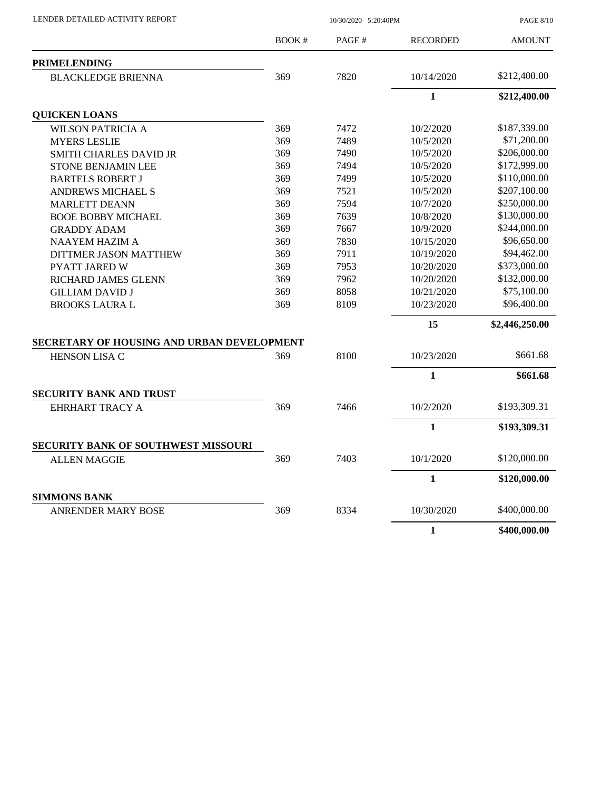| LENDER DETAILED ACTIVITY REPORT            | 10/30/2020 5:20:40PM |       |                 | <b>PAGE 8/10</b> |  |
|--------------------------------------------|----------------------|-------|-----------------|------------------|--|
|                                            | <b>BOOK#</b>         | PAGE# | <b>RECORDED</b> | <b>AMOUNT</b>    |  |
| <b>PRIMELENDING</b>                        |                      |       |                 |                  |  |
| <b>BLACKLEDGE BRIENNA</b>                  | 369                  | 7820  | 10/14/2020      | \$212,400.00     |  |
|                                            |                      |       | $\mathbf{1}$    | \$212,400.00     |  |
| <b>QUICKEN LOANS</b>                       |                      |       |                 |                  |  |
| <b>WILSON PATRICIA A</b>                   | 369                  | 7472  | 10/2/2020       | \$187,339.00     |  |
| <b>MYERS LESLIE</b>                        | 369                  | 7489  | 10/5/2020       | \$71,200.00      |  |
| <b>SMITH CHARLES DAVID JR</b>              | 369                  | 7490  | 10/5/2020       | \$206,000.00     |  |
| STONE BENJAMIN LEE                         | 369                  | 7494  | 10/5/2020       | \$172,999.00     |  |
| <b>BARTELS ROBERT J</b>                    | 369                  | 7499  | 10/5/2020       | \$110,000.00     |  |
| <b>ANDREWS MICHAEL S</b>                   | 369                  | 7521  | 10/5/2020       | \$207,100.00     |  |
| <b>MARLETT DEANN</b>                       | 369                  | 7594  | 10/7/2020       | \$250,000.00     |  |
| <b>BOOE BOBBY MICHAEL</b>                  | 369                  | 7639  | 10/8/2020       | \$130,000.00     |  |
| <b>GRADDY ADAM</b>                         | 369                  | 7667  | 10/9/2020       | \$244,000.00     |  |
| <b>NAAYEM HAZIM A</b>                      | 369                  | 7830  | 10/15/2020      | \$96,650.00      |  |
| <b>DITTMER JASON MATTHEW</b>               | 369                  | 7911  | 10/19/2020      | \$94,462.00      |  |
| <b>PYATT JARED W</b>                       | 369                  | 7953  | 10/20/2020      | \$373,000.00     |  |
| <b>RICHARD JAMES GLENN</b>                 | 369                  | 7962  | 10/20/2020      | \$132,000.00     |  |
| <b>GILLIAM DAVID J</b>                     | 369                  | 8058  | 10/21/2020      | \$75,100.00      |  |
| <b>BROOKS LAURA L</b>                      | 369                  | 8109  | 10/23/2020      | \$96,400.00      |  |
|                                            |                      |       | 15              | \$2,446,250.00   |  |
| SECRETARY OF HOUSING AND URBAN DEVELOPMENT |                      |       |                 |                  |  |
| HENSON LISA C                              | 369                  | 8100  | 10/23/2020      | \$661.68         |  |
|                                            |                      |       | $\mathbf{1}$    | \$661.68         |  |
| SECURITY BANK AND TRUST                    |                      |       |                 |                  |  |
| EHRHART TRACY A                            | 369                  | 7466  | 10/2/2020       | \$193,309.31     |  |
|                                            |                      |       | $\mathbf{1}$    | \$193,309.31     |  |
| <b>SECURITY BANK OF SOUTHWEST MISSOURI</b> |                      |       |                 |                  |  |
| ALLEN MAGGIE                               | 369                  | 7403  | 10/1/2020       | \$120,000.00     |  |
|                                            |                      |       | $\mathbf{1}$    | \$120,000.00     |  |
| <b>SIMMONS BANK</b>                        |                      |       |                 |                  |  |
| <b>ANRENDER MARY BOSE</b>                  | 369                  | 8334  | 10/30/2020      | \$400,000.00     |  |
|                                            |                      |       | $\mathbf{1}$    | \$400,000.00     |  |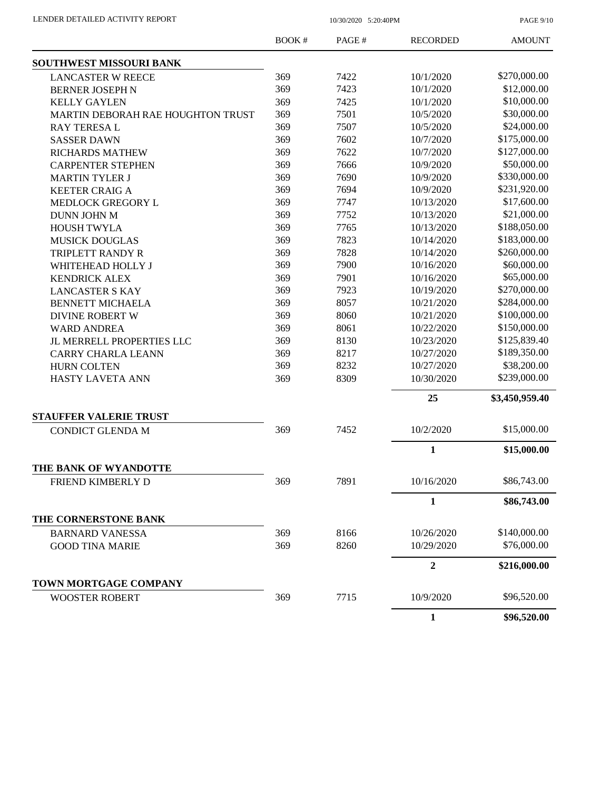| LENDER DETAILED ACTIVITY REPORT |  |
|---------------------------------|--|
|                                 |  |

10/30/2020 5:20:40PM

PAGE 9/10

|                                   | <b>BOOK#</b> | PAGE# | <b>RECORDED</b> | <b>AMOUNT</b>  |
|-----------------------------------|--------------|-------|-----------------|----------------|
| SOUTHWEST MISSOURI BANK           |              |       |                 |                |
| <b>LANCASTER W REECE</b>          | 369          | 7422  | 10/1/2020       | \$270,000.00   |
| <b>BERNER JOSEPH N</b>            | 369          | 7423  | 10/1/2020       | \$12,000.00    |
| <b>KELLY GAYLEN</b>               | 369          | 7425  | 10/1/2020       | \$10,000.00    |
| MARTIN DEBORAH RAE HOUGHTON TRUST | 369          | 7501  | 10/5/2020       | \$30,000.00    |
| <b>RAY TERESAL</b>                | 369          | 7507  | 10/5/2020       | \$24,000.00    |
| <b>SASSER DAWN</b>                | 369          | 7602  | 10/7/2020       | \$175,000.00   |
| <b>RICHARDS MATHEW</b>            | 369          | 7622  | 10/7/2020       | \$127,000.00   |
| <b>CARPENTER STEPHEN</b>          | 369          | 7666  | 10/9/2020       | \$50,000.00    |
| <b>MARTIN TYLER J</b>             | 369          | 7690  | 10/9/2020       | \$330,000.00   |
| <b>KEETER CRAIG A</b>             | 369          | 7694  | 10/9/2020       | \$231,920.00   |
| MEDLOCK GREGORY L                 | 369          | 7747  | 10/13/2020      | \$17,600.00    |
| DUNN JOHN M                       | 369          | 7752  | 10/13/2020      | \$21,000.00    |
| HOUSH TWYLA                       | 369          | 7765  | 10/13/2020      | \$188,050.00   |
| <b>MUSICK DOUGLAS</b>             | 369          | 7823  | 10/14/2020      | \$183,000.00   |
| TRIPLETT RANDY R                  | 369          | 7828  | 10/14/2020      | \$260,000.00   |
| WHITEHEAD HOLLY J                 | 369          | 7900  | 10/16/2020      | \$60,000.00    |
| <b>KENDRICK ALEX</b>              | 369          | 7901  | 10/16/2020      | \$65,000.00    |
| <b>LANCASTER S KAY</b>            | 369          | 7923  | 10/19/2020      | \$270,000.00   |
| <b>BENNETT MICHAELA</b>           | 369          | 8057  | 10/21/2020      | \$284,000.00   |
| <b>DIVINE ROBERT W</b>            | 369          | 8060  | 10/21/2020      | \$100,000.00   |
| <b>WARD ANDREA</b>                | 369          | 8061  | 10/22/2020      | \$150,000.00   |
| JL MERRELL PROPERTIES LLC         | 369          | 8130  | 10/23/2020      | \$125,839.40   |
| <b>CARRY CHARLA LEANN</b>         | 369          | 8217  | 10/27/2020      | \$189,350.00   |
| <b>HURN COLTEN</b>                | 369          | 8232  | 10/27/2020      | \$38,200.00    |
| <b>HASTY LAVETA ANN</b>           | 369          | 8309  | 10/30/2020      | \$239,000.00   |
|                                   |              |       | 25              | \$3,450,959.40 |
| <b>STAUFFER VALERIE TRUST</b>     |              |       |                 |                |
| <b>CONDICT GLENDA M</b>           | 369          | 7452  | 10/2/2020       | \$15,000.00    |
|                                   |              |       | $\mathbf{1}$    | \$15,000.00    |
| THE BANK OF WYANDOTTE             |              |       |                 |                |
| FRIEND KIMBERLY D                 | 369          | 7891  | 10/16/2020      | \$86,743.00    |
|                                   |              |       | $\mathbf{1}$    | \$86,743.00    |
| THE CORNERSTONE BANK              |              |       |                 |                |
| <b>BARNARD VANESSA</b>            | 369          | 8166  | 10/26/2020      | \$140,000.00   |
| <b>GOOD TINA MARIE</b>            | 369          | 8260  | 10/29/2020      | \$76,000.00    |
|                                   |              |       | $\overline{2}$  | \$216,000.00   |
| TOWN MORTGAGE COMPANY             |              |       |                 |                |
| <b>WOOSTER ROBERT</b>             | 369          | 7715  | 10/9/2020       | \$96,520.00    |
|                                   |              |       | $\mathbf{1}$    | \$96,520.00    |